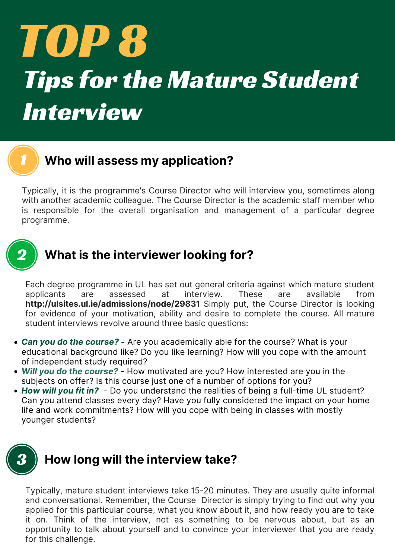# TOP 8 Tips for the Mature Student Interview



## 1 **Who will assess my application?**

Typically, it is the programme's Course Director who will interview you, sometimes along with another academic colleague. The Course Director is the academic staff member who is responsible for the overall organisation and management of a particular degree programme.



Each degree programme in UL has set out general criteria against which mature student applicants are assessed at interview. These are available from

- **http://ulsites.ul.ie/admissions/node/29831** Simply put, the Course Director is looking for evidence of your motivation, ability and desire to complete the course. All mature student interviews revolve around three basic questions:
- *Can you do the course? -* Are you academically able for the course? What is your educational background like? Do you like learning? How will you cope with the amount of independent study required?
- *Will you do the course?* How motivated are you? How interested are you in the subjects on offer? Is this course just one of a number of options for you?
- *How will you fit in?* Do you understand the realities of being a full-time UL student? Can you attend classes every day? Have you fully considered the impact on your home life and work commitments? How will you cope with being in classes with mostly younger students?

# 3 **How long will the interview take?**

Typically, mature student interviews take 15-20 minutes. They are usually quite informal and conversational. Remember, the Course Director is simply trying to find out why you applied for this particular course, what you know about it, and how ready you are to take it on. Think of the interview, not as something to be nervous about, but as an opportunity to talk about yourself and to convince your interviewer that you are ready for this challenge.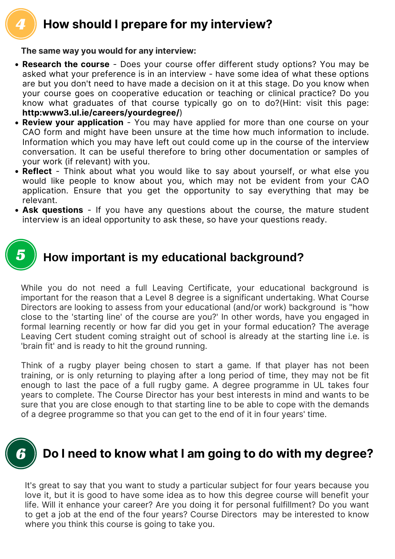

## 4 **How should I prepare for my interview?**

**The same way you would for any interview:**



While you do not need a full Leaving Certificate, your educational background is important for the reason that a Level 8 degree is a significant undertaking. What Course Directors are looking to assess from your educational (and/or work) background is "how close to the 'starting line' of the course are you?' In other words, have you engaged in formal learning recently or how far did you get in your formal education? The average Leaving Cert student coming straight out of school is already at the starting line i.e. is 'brain fit' and is ready to hit the ground running.

Think of a rugby player being chosen to start a game. If that player has not been training, or is only returning to playing after a long period of time, they may not be fit enough to last the pace of a full rugby game. A degree programme in UL takes four years to complete. The Course Director has your best interests in mind and wants to be sure that you are close enough to that starting line to be able to cope with the demands of a degree programme so that you can get to the end of it in four years' time.

- **Research the course** Does your course offer different study options? You may be asked what your preference is in an interview - have some idea of what these options are but you don't need to have made a decision on it at this stage. Do you know when your course goes on cooperative education or teaching or clinical practice? Do you know what graduates of that course typically go on to do?(Hint: visit this page: **http:www3.ul.ie/careers/yourdegree/**)
- **Review your application** You may have applied for more than one course on your CAO form and might have been unsure at the time how much information to include. Information which you may have left out could come up in the course of the interview conversation. It can be useful therefore to bring other documentation or samples of your work (if relevant) with you.
- **Reflect** Think about what you would like to say about yourself, or what else you would like people to know about you, which may not be evident from your CAO application. Ensure that you get the opportunity to say everything that may be relevant.
- **Ask questions** If you have any questions about the course, the mature student interview is an ideal opportunity to ask these, so have your questions ready.

It's great to say that you want to study a particular subject for four years because you love it, but it is good to have some idea as to how this degree course will benefit your life. Will it enhance your career? Are you doing it for personal fulfillment? Do you want to get a job at the end of the four years? Course Directors may be interested to know where you think this course is going to take you.

# 6 **Do I need to know what I am going to do with my degree?**